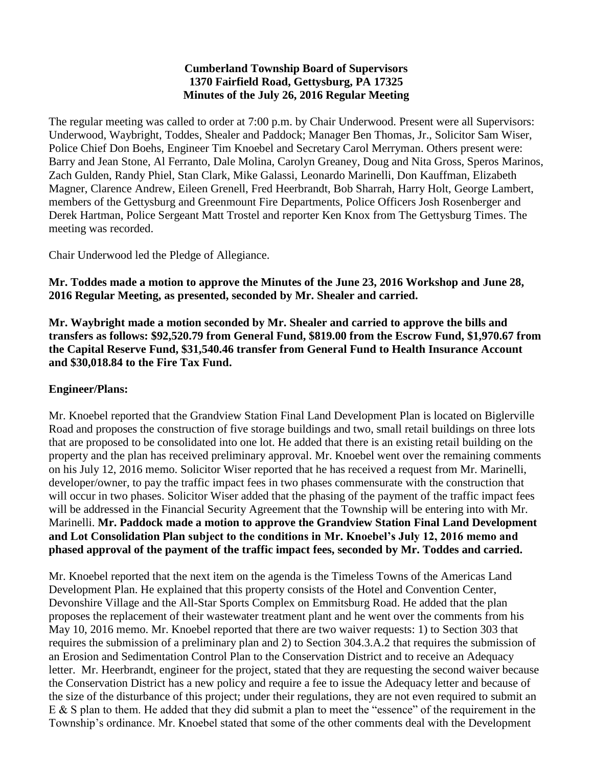#### **Cumberland Township Board of Supervisors 1370 Fairfield Road, Gettysburg, PA 17325 Minutes of the July 26, 2016 Regular Meeting**

The regular meeting was called to order at 7:00 p.m. by Chair Underwood. Present were all Supervisors: Underwood, Waybright, Toddes, Shealer and Paddock; Manager Ben Thomas, Jr., Solicitor Sam Wiser, Police Chief Don Boehs, Engineer Tim Knoebel and Secretary Carol Merryman. Others present were: Barry and Jean Stone, Al Ferranto, Dale Molina, Carolyn Greaney, Doug and Nita Gross, Speros Marinos, Zach Gulden, Randy Phiel, Stan Clark, Mike Galassi, Leonardo Marinelli, Don Kauffman, Elizabeth Magner, Clarence Andrew, Eileen Grenell, Fred Heerbrandt, Bob Sharrah, Harry Holt, George Lambert, members of the Gettysburg and Greenmount Fire Departments, Police Officers Josh Rosenberger and Derek Hartman, Police Sergeant Matt Trostel and reporter Ken Knox from The Gettysburg Times. The meeting was recorded.

Chair Underwood led the Pledge of Allegiance.

**Mr. Toddes made a motion to approve the Minutes of the June 23, 2016 Workshop and June 28, 2016 Regular Meeting, as presented, seconded by Mr. Shealer and carried.**

**Mr. Waybright made a motion seconded by Mr. Shealer and carried to approve the bills and transfers as follows: \$92,520.79 from General Fund, \$819.00 from the Escrow Fund, \$1,970.67 from the Capital Reserve Fund, \$31,540.46 transfer from General Fund to Health Insurance Account and \$30,018.84 to the Fire Tax Fund.**

### **Engineer/Plans:**

Mr. Knoebel reported that the Grandview Station Final Land Development Plan is located on Biglerville Road and proposes the construction of five storage buildings and two, small retail buildings on three lots that are proposed to be consolidated into one lot. He added that there is an existing retail building on the property and the plan has received preliminary approval. Mr. Knoebel went over the remaining comments on his July 12, 2016 memo. Solicitor Wiser reported that he has received a request from Mr. Marinelli, developer/owner, to pay the traffic impact fees in two phases commensurate with the construction that will occur in two phases. Solicitor Wiser added that the phasing of the payment of the traffic impact fees will be addressed in the Financial Security Agreement that the Township will be entering into with Mr. Marinelli. **Mr. Paddock made a motion to approve the Grandview Station Final Land Development and Lot Consolidation Plan subject to the conditions in Mr. Knoebel's July 12, 2016 memo and phased approval of the payment of the traffic impact fees, seconded by Mr. Toddes and carried.** 

Mr. Knoebel reported that the next item on the agenda is the Timeless Towns of the Americas Land Development Plan. He explained that this property consists of the Hotel and Convention Center, Devonshire Village and the All-Star Sports Complex on Emmitsburg Road. He added that the plan proposes the replacement of their wastewater treatment plant and he went over the comments from his May 10, 2016 memo. Mr. Knoebel reported that there are two waiver requests: 1) to Section 303 that requires the submission of a preliminary plan and 2) to Section 304.3.A.2 that requires the submission of an Erosion and Sedimentation Control Plan to the Conservation District and to receive an Adequacy letter. Mr. Heerbrandt, engineer for the project, stated that they are requesting the second waiver because the Conservation District has a new policy and require a fee to issue the Adequacy letter and because of the size of the disturbance of this project; under their regulations, they are not even required to submit an E & S plan to them. He added that they did submit a plan to meet the "essence" of the requirement in the Township's ordinance. Mr. Knoebel stated that some of the other comments deal with the Development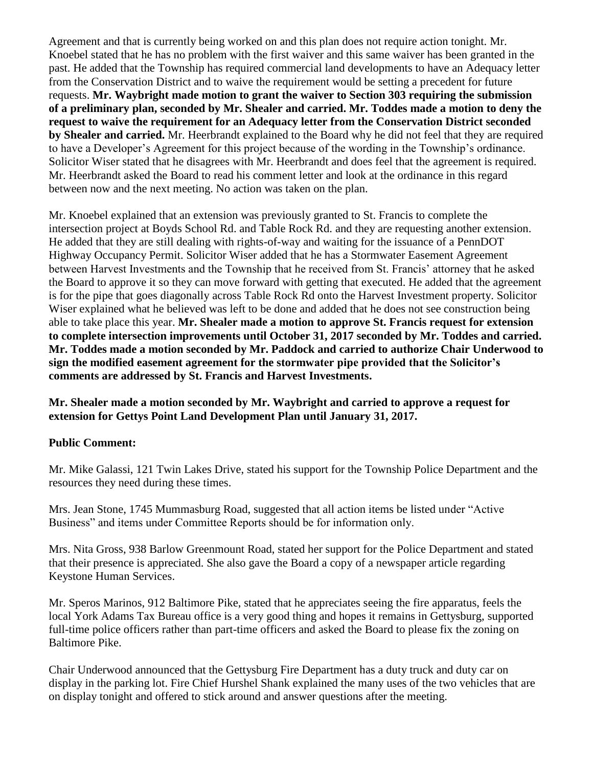Agreement and that is currently being worked on and this plan does not require action tonight. Mr. Knoebel stated that he has no problem with the first waiver and this same waiver has been granted in the past. He added that the Township has required commercial land developments to have an Adequacy letter from the Conservation District and to waive the requirement would be setting a precedent for future requests. **Mr. Waybright made motion to grant the waiver to Section 303 requiring the submission of a preliminary plan, seconded by Mr. Shealer and carried. Mr. Toddes made a motion to deny the request to waive the requirement for an Adequacy letter from the Conservation District seconded by Shealer and carried.** Mr. Heerbrandt explained to the Board why he did not feel that they are required to have a Developer's Agreement for this project because of the wording in the Township's ordinance. Solicitor Wiser stated that he disagrees with Mr. Heerbrandt and does feel that the agreement is required. Mr. Heerbrandt asked the Board to read his comment letter and look at the ordinance in this regard between now and the next meeting. No action was taken on the plan.

Mr. Knoebel explained that an extension was previously granted to St. Francis to complete the intersection project at Boyds School Rd. and Table Rock Rd. and they are requesting another extension. He added that they are still dealing with rights-of-way and waiting for the issuance of a PennDOT Highway Occupancy Permit. Solicitor Wiser added that he has a Stormwater Easement Agreement between Harvest Investments and the Township that he received from St. Francis' attorney that he asked the Board to approve it so they can move forward with getting that executed. He added that the agreement is for the pipe that goes diagonally across Table Rock Rd onto the Harvest Investment property. Solicitor Wiser explained what he believed was left to be done and added that he does not see construction being able to take place this year. **Mr. Shealer made a motion to approve St. Francis request for extension to complete intersection improvements until October 31, 2017 seconded by Mr. Toddes and carried. Mr. Toddes made a motion seconded by Mr. Paddock and carried to authorize Chair Underwood to sign the modified easement agreement for the stormwater pipe provided that the Solicitor's comments are addressed by St. Francis and Harvest Investments.**

**Mr. Shealer made a motion seconded by Mr. Waybright and carried to approve a request for extension for Gettys Point Land Development Plan until January 31, 2017.** 

### **Public Comment:**

Mr. Mike Galassi, 121 Twin Lakes Drive, stated his support for the Township Police Department and the resources they need during these times.

Mrs. Jean Stone, 1745 Mummasburg Road, suggested that all action items be listed under "Active Business" and items under Committee Reports should be for information only.

Mrs. Nita Gross, 938 Barlow Greenmount Road, stated her support for the Police Department and stated that their presence is appreciated. She also gave the Board a copy of a newspaper article regarding Keystone Human Services.

Mr. Speros Marinos, 912 Baltimore Pike, stated that he appreciates seeing the fire apparatus, feels the local York Adams Tax Bureau office is a very good thing and hopes it remains in Gettysburg, supported full-time police officers rather than part-time officers and asked the Board to please fix the zoning on Baltimore Pike.

Chair Underwood announced that the Gettysburg Fire Department has a duty truck and duty car on display in the parking lot. Fire Chief Hurshel Shank explained the many uses of the two vehicles that are on display tonight and offered to stick around and answer questions after the meeting.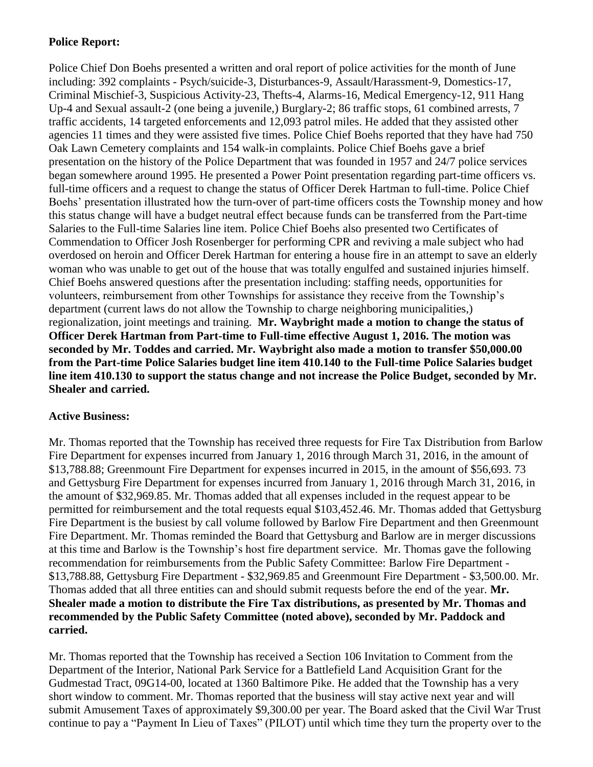# **Police Report:**

Police Chief Don Boehs presented a written and oral report of police activities for the month of June including: 392 complaints - Psych/suicide-3, Disturbances-9, Assault/Harassment-9, Domestics-17, Criminal Mischief-3, Suspicious Activity-23, Thefts-4, Alarms-16, Medical Emergency-12, 911 Hang Up-4 and Sexual assault-2 (one being a juvenile,) Burglary-2; 86 traffic stops, 61 combined arrests, 7 traffic accidents, 14 targeted enforcements and 12,093 patrol miles. He added that they assisted other agencies 11 times and they were assisted five times. Police Chief Boehs reported that they have had 750 Oak Lawn Cemetery complaints and 154 walk-in complaints. Police Chief Boehs gave a brief presentation on the history of the Police Department that was founded in 1957 and 24/7 police services began somewhere around 1995. He presented a Power Point presentation regarding part-time officers vs. full-time officers and a request to change the status of Officer Derek Hartman to full-time. Police Chief Boehs' presentation illustrated how the turn-over of part-time officers costs the Township money and how this status change will have a budget neutral effect because funds can be transferred from the Part-time Salaries to the Full-time Salaries line item. Police Chief Boehs also presented two Certificates of Commendation to Officer Josh Rosenberger for performing CPR and reviving a male subject who had overdosed on heroin and Officer Derek Hartman for entering a house fire in an attempt to save an elderly woman who was unable to get out of the house that was totally engulfed and sustained injuries himself. Chief Boehs answered questions after the presentation including: staffing needs, opportunities for volunteers, reimbursement from other Townships for assistance they receive from the Township's department (current laws do not allow the Township to charge neighboring municipalities,) regionalization, joint meetings and training. **Mr. Waybright made a motion to change the status of Officer Derek Hartman from Part-time to Full-time effective August 1, 2016. The motion was seconded by Mr. Toddes and carried. Mr. Waybright also made a motion to transfer \$50,000.00 from the Part-time Police Salaries budget line item 410.140 to the Full-time Police Salaries budget line item 410.130 to support the status change and not increase the Police Budget, seconded by Mr. Shealer and carried.**

### **Active Business:**

Mr. Thomas reported that the Township has received three requests for Fire Tax Distribution from Barlow Fire Department for expenses incurred from January 1, 2016 through March 31, 2016, in the amount of \$13,788.88; Greenmount Fire Department for expenses incurred in 2015, in the amount of \$56,693. 73 and Gettysburg Fire Department for expenses incurred from January 1, 2016 through March 31, 2016, in the amount of \$32,969.85. Mr. Thomas added that all expenses included in the request appear to be permitted for reimbursement and the total requests equal \$103,452.46. Mr. Thomas added that Gettysburg Fire Department is the busiest by call volume followed by Barlow Fire Department and then Greenmount Fire Department. Mr. Thomas reminded the Board that Gettysburg and Barlow are in merger discussions at this time and Barlow is the Township's host fire department service. Mr. Thomas gave the following recommendation for reimbursements from the Public Safety Committee: Barlow Fire Department - \$13,788.88, Gettysburg Fire Department - \$32,969.85 and Greenmount Fire Department - \$3,500.00. Mr. Thomas added that all three entities can and should submit requests before the end of the year. **Mr. Shealer made a motion to distribute the Fire Tax distributions, as presented by Mr. Thomas and recommended by the Public Safety Committee (noted above), seconded by Mr. Paddock and carried.**

Mr. Thomas reported that the Township has received a Section 106 Invitation to Comment from the Department of the Interior, National Park Service for a Battlefield Land Acquisition Grant for the Gudmestad Tract, 09G14-00, located at 1360 Baltimore Pike. He added that the Township has a very short window to comment. Mr. Thomas reported that the business will stay active next year and will submit Amusement Taxes of approximately \$9,300.00 per year. The Board asked that the Civil War Trust continue to pay a "Payment In Lieu of Taxes" (PILOT) until which time they turn the property over to the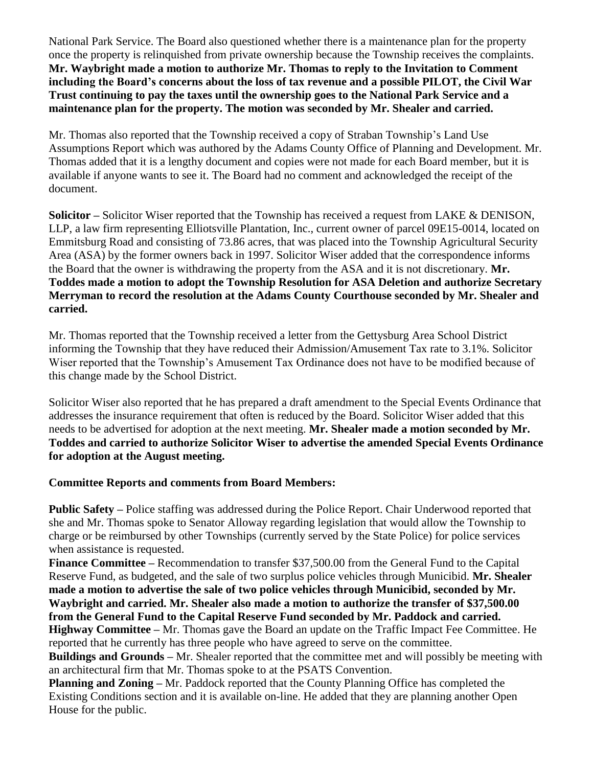National Park Service. The Board also questioned whether there is a maintenance plan for the property once the property is relinquished from private ownership because the Township receives the complaints. **Mr. Waybright made a motion to authorize Mr. Thomas to reply to the Invitation to Comment including the Board's concerns about the loss of tax revenue and a possible PILOT, the Civil War Trust continuing to pay the taxes until the ownership goes to the National Park Service and a maintenance plan for the property. The motion was seconded by Mr. Shealer and carried.**

Mr. Thomas also reported that the Township received a copy of Straban Township's Land Use Assumptions Report which was authored by the Adams County Office of Planning and Development. Mr. Thomas added that it is a lengthy document and copies were not made for each Board member, but it is available if anyone wants to see it. The Board had no comment and acknowledged the receipt of the document.

**Solicitor –** Solicitor Wiser reported that the Township has received a request from LAKE & DENISON, LLP, a law firm representing Elliotsville Plantation, Inc., current owner of parcel 09E15-0014, located on Emmitsburg Road and consisting of 73.86 acres, that was placed into the Township Agricultural Security Area (ASA) by the former owners back in 1997. Solicitor Wiser added that the correspondence informs the Board that the owner is withdrawing the property from the ASA and it is not discretionary. **Mr. Toddes made a motion to adopt the Township Resolution for ASA Deletion and authorize Secretary Merryman to record the resolution at the Adams County Courthouse seconded by Mr. Shealer and carried.**

Mr. Thomas reported that the Township received a letter from the Gettysburg Area School District informing the Township that they have reduced their Admission/Amusement Tax rate to 3.1%. Solicitor Wiser reported that the Township's Amusement Tax Ordinance does not have to be modified because of this change made by the School District.

Solicitor Wiser also reported that he has prepared a draft amendment to the Special Events Ordinance that addresses the insurance requirement that often is reduced by the Board. Solicitor Wiser added that this needs to be advertised for adoption at the next meeting. **Mr. Shealer made a motion seconded by Mr. Toddes and carried to authorize Solicitor Wiser to advertise the amended Special Events Ordinance for adoption at the August meeting.**

### **Committee Reports and comments from Board Members:**

**Public Safety –** Police staffing was addressed during the Police Report. Chair Underwood reported that she and Mr. Thomas spoke to Senator Alloway regarding legislation that would allow the Township to charge or be reimbursed by other Townships (currently served by the State Police) for police services when assistance is requested.

**Finance Committee –** Recommendation to transfer \$37,500.00 from the General Fund to the Capital Reserve Fund, as budgeted, and the sale of two surplus police vehicles through Municibid. **Mr. Shealer made a motion to advertise the sale of two police vehicles through Municibid, seconded by Mr. Waybright and carried. Mr. Shealer also made a motion to authorize the transfer of \$37,500.00 from the General Fund to the Capital Reserve Fund seconded by Mr. Paddock and carried.** 

**Highway Committee –** Mr. Thomas gave the Board an update on the Traffic Impact Fee Committee. He reported that he currently has three people who have agreed to serve on the committee.

**Buildings and Grounds –** Mr. Shealer reported that the committee met and will possibly be meeting with an architectural firm that Mr. Thomas spoke to at the PSATS Convention.

**Planning and Zoning –** Mr. Paddock reported that the County Planning Office has completed the Existing Conditions section and it is available on-line. He added that they are planning another Open House for the public.